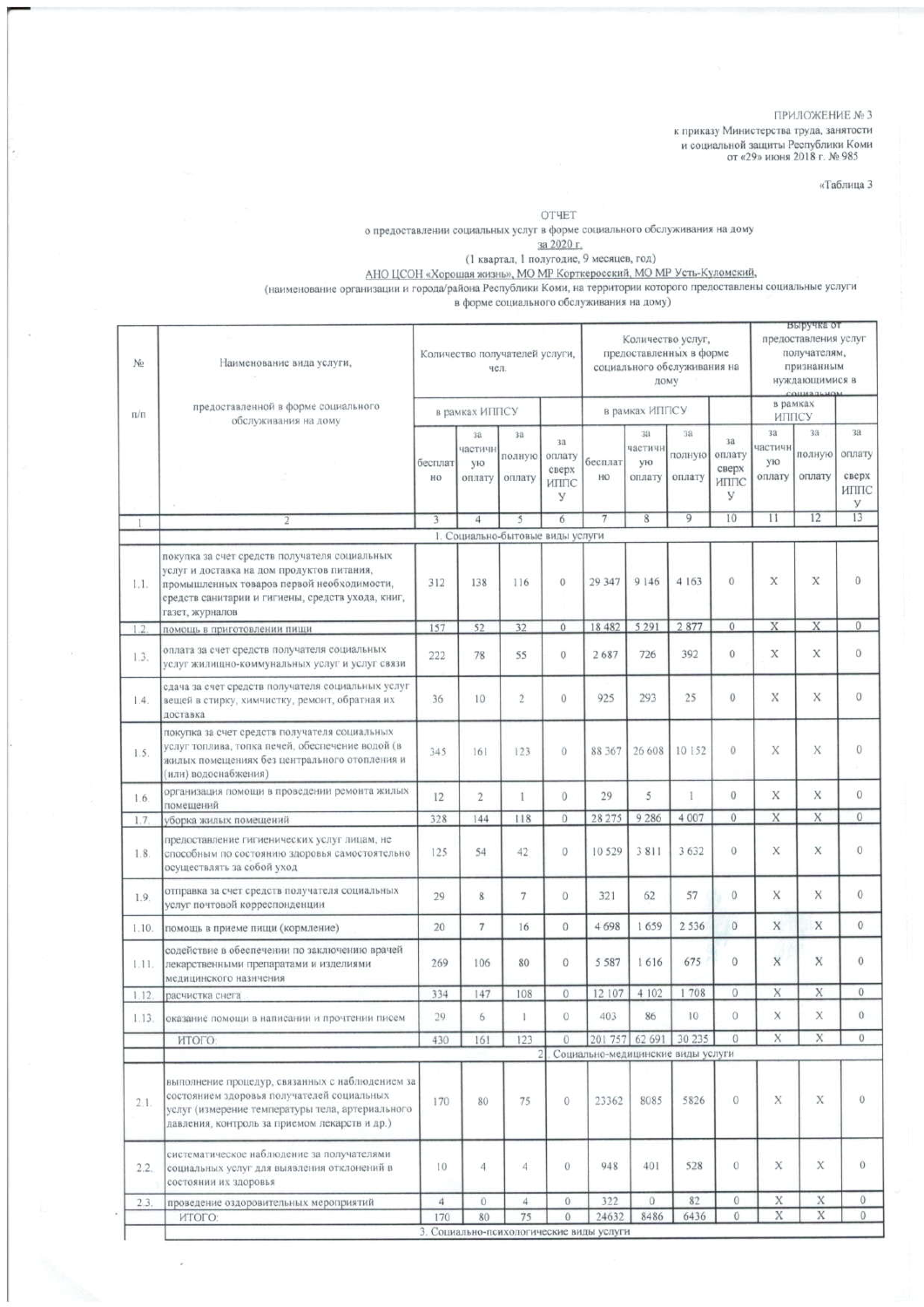ПРИЛОЖЕНИЕ № 3

к приказу Министерства труда, занятости и социальной защиты Республики Коми $\sigma$  «29» июня 2018 г. № 985

«Таблица 3

**OTHET** 

о предоставлении социальных услуг в форме социального обслуживания на дому

о предоставлении социальных услуг в форме социального оослуживания на дому  $\frac{3a\,2020 \text{ r}}{32020 \text{ r}}$ .<br>(1 квартал, 1 полугодие, 9 месяцев, год)<br>AHO ЦСОН «Хорошая жизнь», МО МР Корткеросский, МО МР Усть-Куломский, в до

| No        | Наименование вида услуги,                                                                                                                                                                                         |                | чел.                                           | Количество получателей услуги,   |                                    | Количество услуг,<br>предоставленных в форме<br>социального обслуживания на<br>дому |                                  |                        |                                    | выручка от<br>предоставления услуг<br>получателям,<br>признанным<br>нуждающимися в<br>COURSELUO |                        |                                     |
|-----------|-------------------------------------------------------------------------------------------------------------------------------------------------------------------------------------------------------------------|----------------|------------------------------------------------|----------------------------------|------------------------------------|-------------------------------------------------------------------------------------|----------------------------------|------------------------|------------------------------------|-------------------------------------------------------------------------------------------------|------------------------|-------------------------------------|
| $\Pi/\Pi$ | предоставленной в форме социального<br>обслуживания на дому                                                                                                                                                       | в рамках ИППСУ |                                                |                                  |                                    |                                                                                     | в рамках ИППСУ                   |                        |                                    | в рамках<br>ИППСУ                                                                               |                        |                                     |
|           |                                                                                                                                                                                                                   | бесплат<br>HO  | 3a<br>частичн<br>ую<br>оплату                  | 311<br>полную<br>оплату          | 3a<br>оплату<br>сверх<br>ИППС<br>У | бесплат<br>HO                                                                       | 38<br>частичн<br>ую<br>оплату    | 38<br>полную<br>оплату | 3a<br>оплату<br>сверх<br>ИППС<br>У | 38 <sub>1</sub><br>частичн<br>ую<br>оплату                                                      | 3a<br>полную<br>оплату | 38.<br>оплату<br>сверх<br>ИППС<br>У |
| 1         |                                                                                                                                                                                                                   | 3              | 4                                              | 5                                | 6                                  | 7                                                                                   | 8                                | 9                      | 10                                 | $^{11}$                                                                                         | 12                     | 13                                  |
|           |                                                                                                                                                                                                                   |                |                                                | 1. Социально-бытовые виды услуги |                                    |                                                                                     |                                  |                        |                                    |                                                                                                 |                        |                                     |
| 1.1.      | покупка за счет средств получателя социальных<br>услуг и доставка на дом продуктов питания,<br>промышленных товаров первой необходимости,<br>средств санитарии и гигиены, средств ухода, книг,<br>газет, журналов | 312            | 138                                            | 116                              | $\overline{0}$                     | 29 347                                                                              | 9 146                            | 4 1 6 3                | $\theta$                           | X                                                                                               | X                      | $\bf{0}$                            |
| 1.2       | помощь в приготовлении пиши                                                                                                                                                                                       | 157            | 52                                             | 32                               | 0                                  | 18 482                                                                              | 5 2 9 1                          | 2877                   | $\sqrt{0}$                         | X                                                                                               | X                      | $\mathbf{0}$                        |
| 1.3.      | оплата за счет средств получателя социальных<br>услуг жилищно-коммунальных услуг и услуг связи                                                                                                                    | 222            | 78                                             | 55                               | $\circ$                            | 2687                                                                                | 726                              | 392                    | $\mathbf{0}$                       | X                                                                                               | X                      | $\overline{0}$                      |
| 1.4.      | сдача за счет средств получателя социальных услуг<br>вещей в стирку, химчистку, ремонт, обратная их<br>доставка                                                                                                   | 36             | 10                                             | $\overline{2}$                   | $\overline{0}$                     | 925                                                                                 | 293                              | 25                     | $\theta$                           | X                                                                                               | X.                     | 0                                   |
| 1.5.      | покупка за счет средств получателя социальных<br>услуг топлива, топка печей, обеспечение водой (в<br>жилых помещениях без центрального отопления и<br>(или) водоснабжения)                                        | 345            | 161                                            | 123                              | $\circ$                            | 88 367                                                                              | 26 608                           | 10 152                 | $\Omega$                           | X                                                                                               | X                      | $\mathbf{0}$                        |
| 1.6.      | организация помощи в проведении ремонта жилых<br>помещений                                                                                                                                                        | 12             | 2                                              | 1                                | $\overline{0}$                     | 29                                                                                  | 5                                | Ł                      | $\sigma$                           | X                                                                                               | X                      | $\theta$                            |
| 1.7       | уборка жилых помещений                                                                                                                                                                                            | 328            | 144                                            | 118                              | $\theta$                           | 28 275                                                                              | 9286                             | 4 007                  | $\mathbf{0}$                       | X                                                                                               | X                      | $\mathbf{0}$                        |
| 1.8       | предоставление гигиенических услуг лицам, не<br>способным по состоянию здоровья самостоятельно<br>осуществлять за собой уход                                                                                      | 125            | 54                                             | 42                               | 0                                  | 10 529                                                                              | 3811                             | 3 6 3 2                | $\mathbf{0}$                       | X                                                                                               | X                      | $\overline{0}$                      |
| 1.9.      | отправка за счет средств получателя социальных<br>услуг почтовой корреспонденции                                                                                                                                  | 29             | $8\phantom{.}$                                 | $\tau$                           | $\overline{0}$                     | 321                                                                                 | 62                               | 57                     | $\Omega$                           | X                                                                                               | X                      | $\theta$                            |
| 1.10.     | помощь в приеме пищи (кормление)                                                                                                                                                                                  | 20             | $\overline{7}$                                 | 16                               | $\theta$                           | 4698                                                                                | 1659                             | 2 5 3 6                | $\mathbf{0}$                       | X                                                                                               | X                      | $\sigma$                            |
| 1.11.     | содействие в обеспечении по заключению врачей<br>лекарственными препаратами и изделиями<br>медицинского назнчения                                                                                                 | 269            | 106                                            | 80                               | $\theta$                           | 5 5 8 7                                                                             | 1616                             | 675                    | $\theta$                           | X                                                                                               | X                      | $\alpha$                            |
| 1.12      | расчистка снега                                                                                                                                                                                                   | 334            | 147                                            | 108                              | $\theta$                           | 12 107                                                                              | 4 102                            | 708                    | $\theta$                           | X                                                                                               | X                      | Ü                                   |
| 1.13.     | оказание помощи в написании и прочтении писем                                                                                                                                                                     | 29             | 6                                              |                                  |                                    | 403                                                                                 | 86                               | 10                     | $\theta$                           | X                                                                                               | X                      | Ö                                   |
|           | итого:                                                                                                                                                                                                            | 430            | 161                                            | 123                              | 0                                  |                                                                                     | 201 757 62 691                   | 30 235                 | $\theta$                           | X                                                                                               | X                      | 0                                   |
|           |                                                                                                                                                                                                                   |                |                                                |                                  | 21                                 | Социально-медицинские виды услуги                                                   |                                  |                        |                                    |                                                                                                 |                        |                                     |
| 2.1.      | выполнение процедур, связанных с наблюдением за<br>состоянием здоровья получателей социальных<br>услуг (измерение температуры тела, артериального<br>давления, контроль за приемом лекарств и др.)                | 170            | 80                                             | 75                               | $\mathbf{0}$                       | 23362                                                                               | 8085                             | 5826                   | $\Theta$                           | X                                                                                               | X                      | $\circ$                             |
| 2.2.      | систематическое наблюдение за получателями<br>социальных услуг для выявления отклонений в<br>состоянии их здоровья                                                                                                | 10             | 4                                              | $\overline{4}$                   | $\alpha$                           | 948                                                                                 | 401                              | 528                    | 0                                  | X                                                                                               | X                      | $\circ$                             |
| 2.3.      | проведение оздоровительных мероприятий                                                                                                                                                                            | $\ddot{4}$     | $\mathbf{0}$                                   | $\overline{4}$                   | $\theta$                           | 322                                                                                 | $\begin{array}{c} 0 \end{array}$ | 82                     | $\theta$                           | X                                                                                               | X                      | $\mathbf{0}$                        |
|           | ИТОГО:                                                                                                                                                                                                            | 170            | 80<br>3. Социально-психологические виды услуги | 75                               | $\theta$                           | 24632                                                                               | 8486                             | 6436                   | 0                                  | X                                                                                               | X                      | $\mathbf 0$                         |